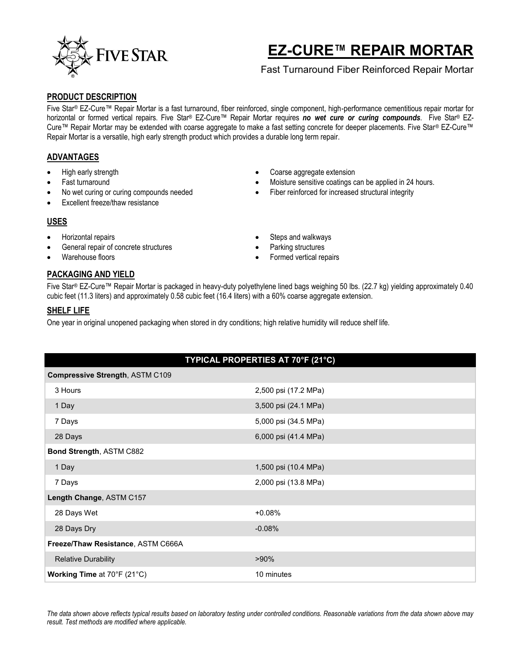

# **EZ-CURE™ REPAIR MORTAR**

## Fast Turnaround Fiber Reinforced Repair Mortar

#### **PRODUCT DESCRIPTION**

Five Star® EZ-Cure™ Repair Mortar is a fast turnaround, fiber reinforced, single component, high-performance cementitious repair mortar for horizontal or formed vertical repairs. Five Star® EZ-Cure™ Repair Mortar requires *no wet cure or curing compounds*. Five Star® EZ-Cure™ Repair Mortar may be extended with coarse aggregate to make a fast setting concrete for deeper placements. Five Star® EZ-Cure™ Repair Mortar is a versatile, high early strength product which provides a durable long term repair.

## **ADVANTAGES**

- High early strength
- Fast turnaround
- No wet curing or curing compounds needed
- Excellent freeze/thaw resistance

## **USES**

- Horizontal repairs
- General repair of concrete structures
- Warehouse floors

#### Coarse aggregate extension Moisture sensitive coatings can be applied in 24 hours.

- Fiber reinforced for increased structural integrity
- Steps and walkways
- Parking structures
- Formed vertical repairs

## **PACKAGING AND YIELD**

Five Star® EZ-Cure™ Repair Mortar is packaged in heavy-duty polyethylene lined bags weighing 50 lbs. (22.7 kg) yielding approximately 0.40 cubic feet (11.3 liters) and approximately 0.58 cubic feet (16.4 liters) with a 60% coarse aggregate extension.

### **SHELF LIFE**

One year in original unopened packaging when stored in dry conditions; high relative humidity will reduce shelf life.

| Compressive Strength, ASTM C109    |                      |
|------------------------------------|----------------------|
| 3 Hours                            | 2,500 psi (17.2 MPa) |
| 1 Day                              | 3,500 psi (24.1 MPa) |
| 7 Days                             | 5,000 psi (34.5 MPa) |
| 28 Days                            | 6,000 psi (41.4 MPa) |
| Bond Strength, ASTM C882           |                      |
| 1 Day                              | 1,500 psi (10.4 MPa) |
| 7 Days                             | 2,000 psi (13.8 MPa) |
| Length Change, ASTM C157           |                      |
| 28 Days Wet                        | $+0.08%$             |
| 28 Days Dry                        | $-0.08%$             |
| Freeze/Thaw Resistance, ASTM C666A |                      |
| <b>Relative Durability</b>         | $>90\%$              |
| <b>Working Time at 70°F (21°C)</b> | 10 minutes           |

*The data shown above reflects typical results based on laboratory testing under controlled conditions. Reasonable variations from the data shown above may result. Test methods are modified where applicable.*